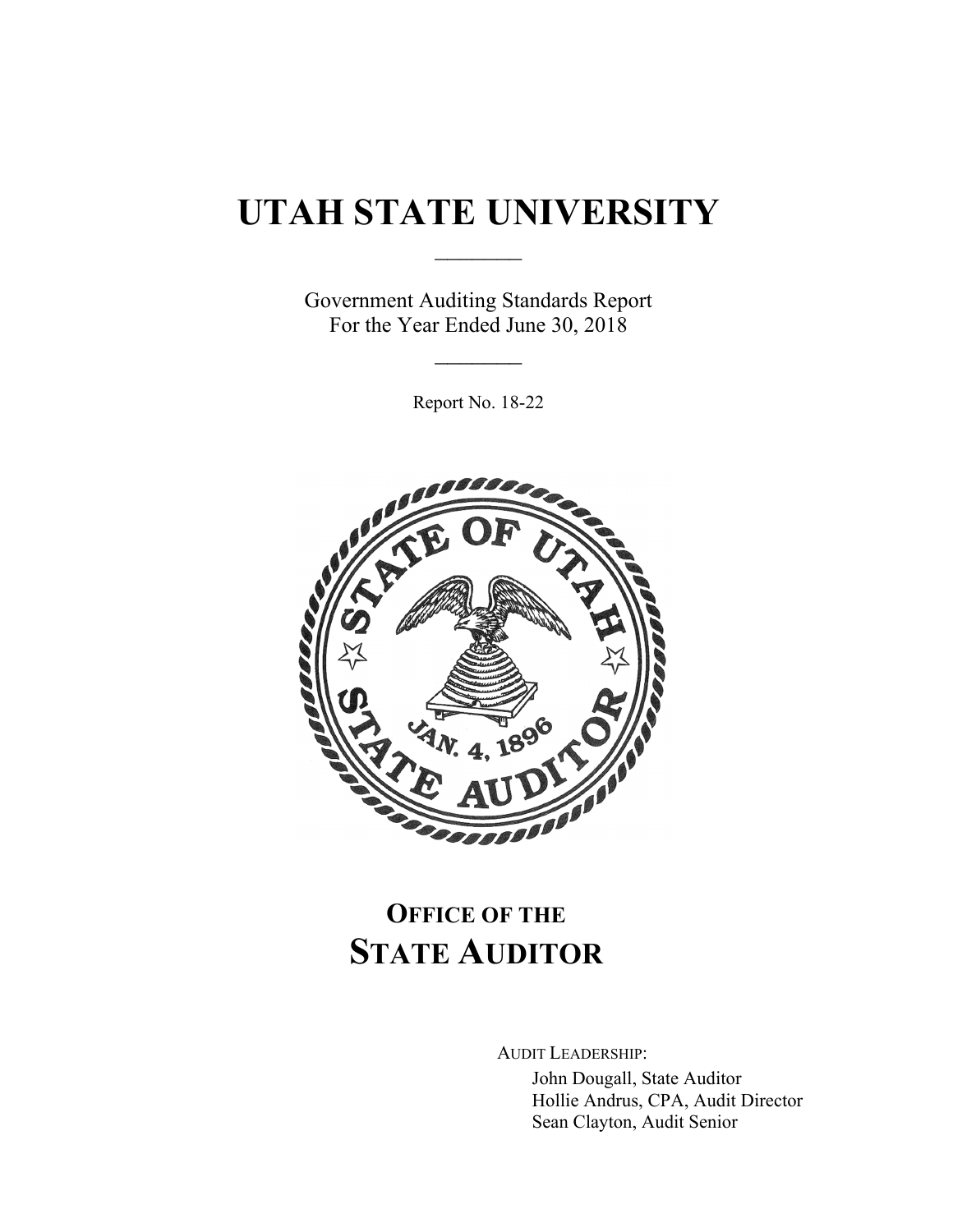# **UTAH STATE UNIVERSITY**

 $\frac{1}{2}$ 

Government Auditing Standards Report For the Year Ended June 30, 2018

 $\frac{1}{2}$ 

Report No. 18-22



## **OFFICE OF THE STATE AUDITOR**

AUDIT LEADERSHIP:

John Dougall, State Auditor Hollie Andrus, CPA, Audit Director Sean Clayton, Audit Senior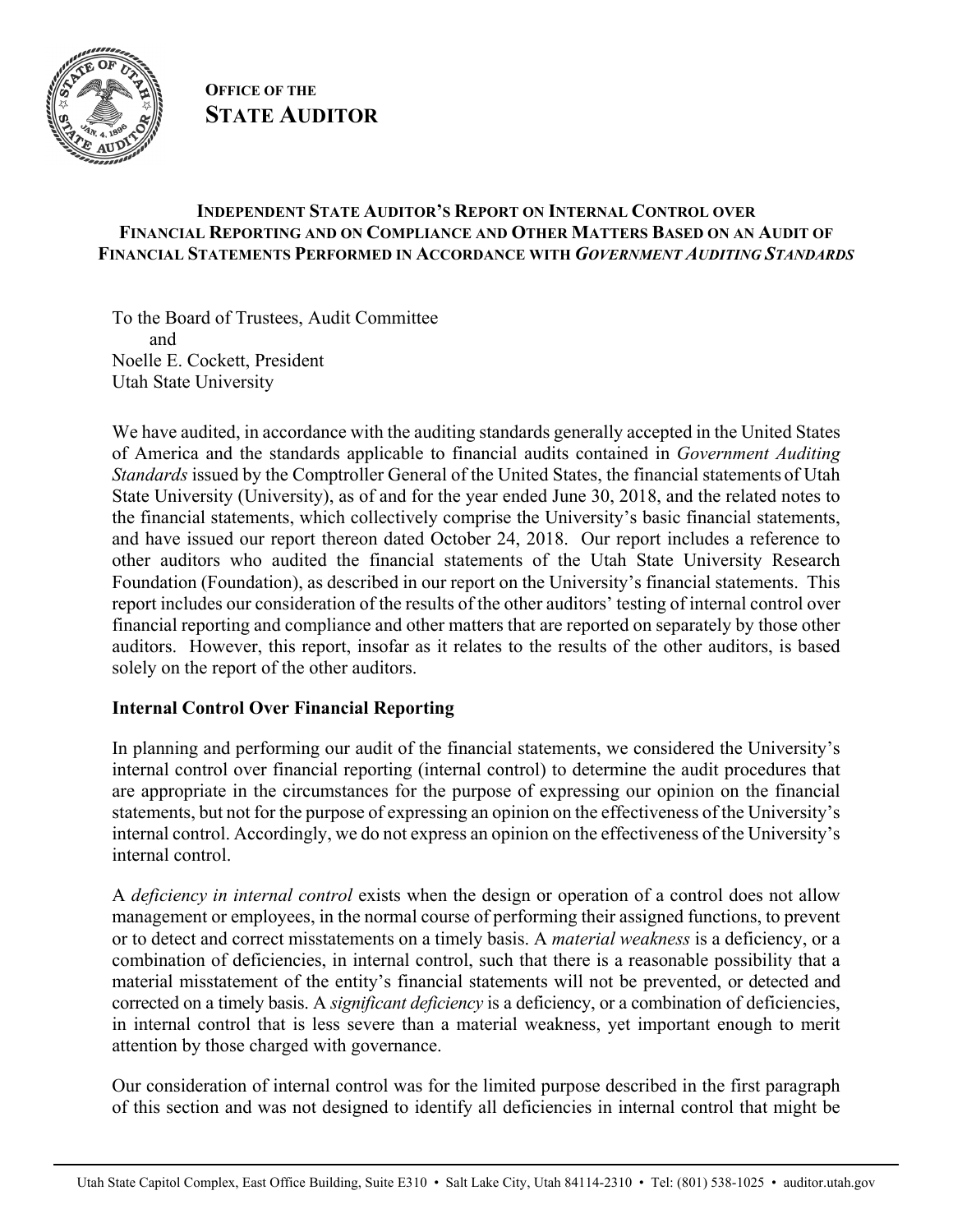

### **OFFICE OF THE STATE AUDITOR**

#### **INDEPENDENT STATE AUDITOR'S REPORT ON INTERNAL CONTROL OVER FINANCIAL REPORTING AND ON COMPLIANCE AND OTHER MATTERS BASED ON AN AUDIT OF FINANCIAL STATEMENTS PERFORMED IN ACCORDANCE WITH** *GOVERNMENT AUDITING STANDARDS*

To the Board of Trustees, Audit Committee and Noelle E. Cockett, President Utah State University

We have audited, in accordance with the auditing standards generally accepted in the United States of America and the standards applicable to financial audits contained in *Government Auditing Standards* issued by the Comptroller General of the United States, the financial statements of Utah State University (University), as of and for the year ended June 30, 2018, and the related notes to the financial statements, which collectively comprise the University's basic financial statements, and have issued our report thereon dated October 24, 2018. Our report includes a reference to other auditors who audited the financial statements of the Utah State University Research Foundation (Foundation), as described in our report on the University's financial statements. This report includes our consideration of the results of the other auditors' testing of internal control over financial reporting and compliance and other matters that are reported on separately by those other auditors. However, this report, insofar as it relates to the results of the other auditors, is based solely on the report of the other auditors.

#### **Internal Control Over Financial Reporting**

In planning and performing our audit of the financial statements, we considered the University's internal control over financial reporting (internal control) to determine the audit procedures that are appropriate in the circumstances for the purpose of expressing our opinion on the financial statements, but not for the purpose of expressing an opinion on the effectiveness of the University's internal control. Accordingly, we do not express an opinion on the effectiveness of the University's internal control.

A *deficiency in internal control* exists when the design or operation of a control does not allow management or employees, in the normal course of performing their assigned functions, to prevent or to detect and correct misstatements on a timely basis. A *material weakness* is a deficiency, or a combination of deficiencies, in internal control, such that there is a reasonable possibility that a material misstatement of the entity's financial statements will not be prevented, or detected and corrected on a timely basis. A *significant deficiency* is a deficiency, or a combination of deficiencies, in internal control that is less severe than a material weakness, yet important enough to merit attention by those charged with governance.

Our consideration of internal control was for the limited purpose described in the first paragraph of this section and was not designed to identify all deficiencies in internal control that might be